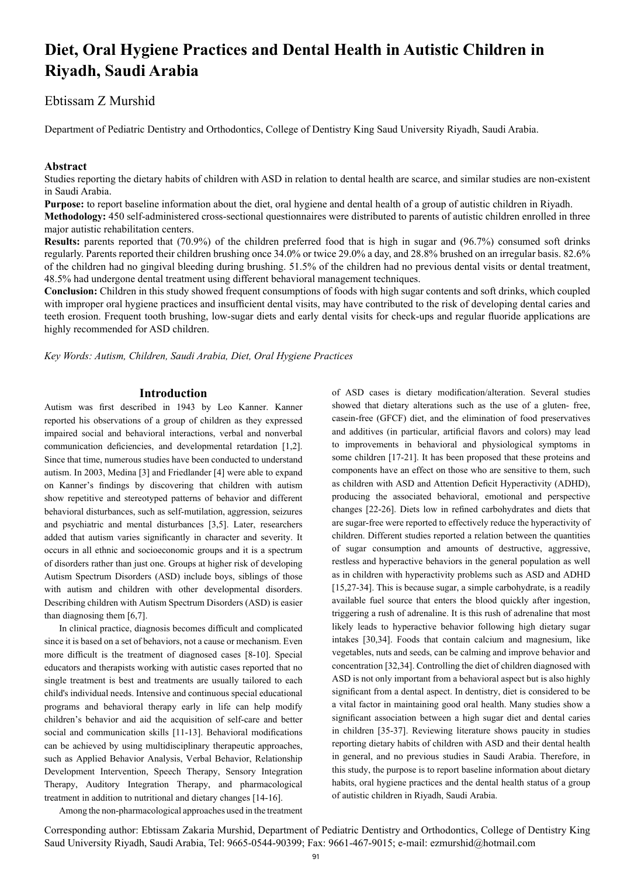# **Diet, Oral Hygiene Practices and Dental Health in Autistic Children in Riyadh, Saudi Arabia**

# Ebtissam Z Murshid

Department of Pediatric Dentistry and Orthodontics, College of Dentistry King Saud University Riyadh, Saudi Arabia.

## **Abstract**

Studies reporting the dietary habits of children with ASD in relation to dental health are scarce, and similar studies are non-existent in Saudi Arabia.

**Purpose:** to report baseline information about the diet, oral hygiene and dental health of a group of autistic children in Riyadh.

**Methodology:** 450 self-administered cross-sectional questionnaires were distributed to parents of autistic children enrolled in three major autistic rehabilitation centers.

**Results:** parents reported that (70.9%) of the children preferred food that is high in sugar and (96.7%) consumed soft drinks regularly. Parents reported their children brushing once 34.0% or twice 29.0% a day, and 28.8% brushed on an irregular basis. 82.6% of the children had no gingival bleeding during brushing. 51.5% of the children had no previous dental visits or dental treatment, 48.5% had undergone dental treatment using different behavioral management techniques.

**Conclusion:** Children in this study showed frequent consumptions of foods with high sugar contents and soft drinks, which coupled with improper oral hygiene practices and insufficient dental visits, may have contributed to the risk of developing dental caries and teeth erosion. Frequent tooth brushing, low-sugar diets and early dental visits for check-ups and regular fluoride applications are highly recommended for ASD children.

*Key Words: Autism, Children, Saudi Arabia, Diet, Oral Hygiene Practices*

# **Introduction**

Autism was first described in 1943 by Leo Kanner. Kanner reported his observations of a group of children as they expressed impaired social and behavioral interactions, verbal and nonverbal communication deficiencies, and developmental retardation [1,2]. Since that time, numerous studies have been conducted to understand autism. In 2003, Medina [3] and Friedlander [4] were able to expand on Kanner's findings by discovering that children with autism show repetitive and stereotyped patterns of behavior and different behavioral disturbances, such as self-mutilation, aggression, seizures and psychiatric and mental disturbances [3,5]. Later, researchers added that autism varies significantly in character and severity. It occurs in all ethnic and socioeconomic groups and it is a spectrum of disorders rather than just one. Groups at higher risk of developing Autism Spectrum Disorders (ASD) include boys, siblings of those with autism and children with other developmental disorders. Describing children with Autism Spectrum Disorders (ASD) is easier than diagnosing them [6,7].

In clinical practice, diagnosis becomes difficult and complicated since it is based on a set of behaviors, not a cause or mechanism. Even more difficult is the treatment of diagnosed cases [8-10]. Special educators and therapists working with autistic cases reported that no single treatment is best and treatments are usually tailored to each child's individual needs. Intensive and continuous special educational programs and behavioral therapy early in life can help modify children's behavior and aid the acquisition of self-care and better social and communication skills [11-13]. Behavioral modifications can be achieved by using multidisciplinary therapeutic approaches, such as Applied Behavior Analysis, Verbal Behavior, Relationship Development Intervention, Speech Therapy, Sensory Integration Therapy, Auditory Integration Therapy, and pharmacological treatment in addition to nutritional and dietary changes [14-16].

of ASD cases is dietary modification/alteration. Several studies showed that dietary alterations such as the use of a gluten- free, casein-free (GFCF) diet, and the elimination of food preservatives and additives (in particular, artificial flavors and colors) may lead to improvements in behavioral and physiological symptoms in some children [17-21]. It has been proposed that these proteins and components have an effect on those who are sensitive to them, such as children with ASD and Attention Deficit Hyperactivity (ADHD), producing the associated behavioral, emotional and perspective changes [22-26]. Diets low in refined carbohydrates and diets that are sugar-free were reported to effectively reduce the hyperactivity of children. Different studies reported a relation between the quantities of sugar consumption and amounts of destructive, aggressive, restless and hyperactive behaviors in the general population as well as in children with hyperactivity problems such as ASD and ADHD [15,27-34]. This is because sugar, a simple carbohydrate, is a readily available fuel source that enters the blood quickly after ingestion, triggering a rush of adrenaline. It is this rush of adrenaline that most likely leads to hyperactive behavior following high dietary sugar intakes [30,34]. Foods that contain calcium and magnesium, like vegetables, nuts and seeds, can be calming and improve behavior and concentration [32,34]. Controlling the diet of children diagnosed with ASD is not only important from a behavioral aspect but is also highly significant from a dental aspect. In dentistry, diet is considered to be a vital factor in maintaining good oral health. Many studies show a significant association between a high sugar diet and dental caries in children [35-37]. Reviewing literature shows paucity in studies reporting dietary habits of children with ASD and their dental health in general, and no previous studies in Saudi Arabia. Therefore, in this study, the purpose is to report baseline information about dietary habits, oral hygiene practices and the dental health status of a group of autistic children in Riyadh, Saudi Arabia.

Among the non-pharmacological approaches used in the treatment

Corresponding author: Ebtissam Zakaria Murshid, Department of Pediatric Dentistry and Orthodontics, College of Dentistry King Saud University Riyadh, Saudi Arabia, Tel: 9665-0544-90399; Fax: 9661-467-9015; e-mail: ezmurshid@hotmail.com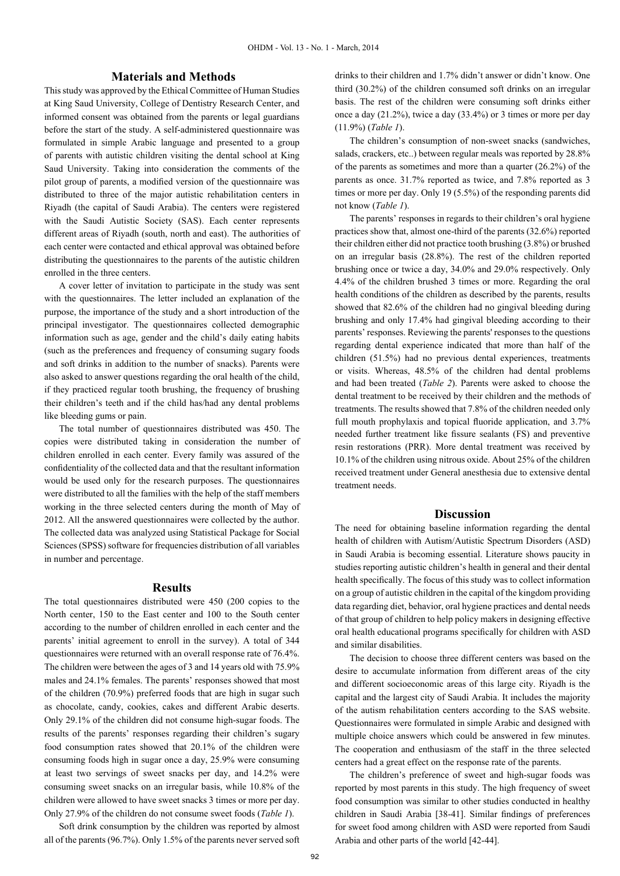# **Materials and Methods**

This study was approved by the Ethical Committee of Human Studies at King Saud University, College of Dentistry Research Center, and informed consent was obtained from the parents or legal guardians before the start of the study. A self-administered questionnaire was formulated in simple Arabic language and presented to a group of parents with autistic children visiting the dental school at King Saud University. Taking into consideration the comments of the pilot group of parents, a modified version of the questionnaire was distributed to three of the major autistic rehabilitation centers in Riyadh (the capital of Saudi Arabia). The centers were registered with the Saudi Autistic Society (SAS). Each center represents different areas of Riyadh (south, north and east). The authorities of each center were contacted and ethical approval was obtained before distributing the questionnaires to the parents of the autistic children enrolled in the three centers.

A cover letter of invitation to participate in the study was sent with the questionnaires. The letter included an explanation of the purpose, the importance of the study and a short introduction of the principal investigator. The questionnaires collected demographic information such as age, gender and the child's daily eating habits (such as the preferences and frequency of consuming sugary foods and soft drinks in addition to the number of snacks). Parents were also asked to answer questions regarding the oral health of the child, if they practiced regular tooth brushing, the frequency of brushing their children's teeth and if the child has/had any dental problems like bleeding gums or pain.

The total number of questionnaires distributed was 450. The copies were distributed taking in consideration the number of children enrolled in each center. Every family was assured of the confidentiality of the collected data and that the resultant information would be used only for the research purposes. The questionnaires were distributed to all the families with the help of the staff members working in the three selected centers during the month of May of 2012. All the answered questionnaires were collected by the author. The collected data was analyzed using Statistical Package for Social Sciences (SPSS) software for frequencies distribution of all variables in number and percentage.

#### **Results**

The total questionnaires distributed were 450 (200 copies to the North center, 150 to the East center and 100 to the South center according to the number of children enrolled in each center and the parents' initial agreement to enroll in the survey). A total of 344 questionnaires were returned with an overall response rate of 76.4%. The children were between the ages of 3 and 14 years old with 75.9% males and 24.1% females. The parents' responses showed that most of the children (70.9%) preferred foods that are high in sugar such as chocolate, candy, cookies, cakes and different Arabic deserts. Only 29.1% of the children did not consume high-sugar foods. The results of the parents' responses regarding their children's sugary food consumption rates showed that 20.1% of the children were consuming foods high in sugar once a day, 25.9% were consuming at least two servings of sweet snacks per day, and 14.2% were consuming sweet snacks on an irregular basis, while 10.8% of the children were allowed to have sweet snacks 3 times or more per day. Only 27.9% of the children do not consume sweet foods (*Table 1*).

Soft drink consumption by the children was reported by almost all of the parents (96.7%). Only 1.5% of the parents never served soft

drinks to their children and 1.7% didn't answer or didn't know. One third (30.2%) of the children consumed soft drinks on an irregular basis. The rest of the children were consuming soft drinks either once a day (21.2%), twice a day (33.4%) or 3 times or more per day (11.9%) (*Table 1*).

The children's consumption of non-sweet snacks (sandwiches, salads, crackers, etc..) between regular meals was reported by 28.8% of the parents as sometimes and more than a quarter (26.2%) of the parents as once. 31.7% reported as twice, and 7.8% reported as 3 times or more per day. Only 19 (5.5%) of the responding parents did not know (*Table 1*).

The parents' responses in regards to their children's oral hygiene practices show that, almost one-third of the parents (32.6%) reported their children either did not practice tooth brushing (3.8%) or brushed on an irregular basis (28.8%). The rest of the children reported brushing once or twice a day, 34.0% and 29.0% respectively. Only 4.4% of the children brushed 3 times or more. Regarding the oral health conditions of the children as described by the parents, results showed that 82.6% of the children had no gingival bleeding during brushing and only 17.4% had gingival bleeding according to their parents' responses. Reviewing the parents' responses to the questions regarding dental experience indicated that more than half of the children (51.5%) had no previous dental experiences, treatments or visits. Whereas, 48.5% of the children had dental problems and had been treated (*Table 2*). Parents were asked to choose the dental treatment to be received by their children and the methods of treatments. The results showed that 7.8% of the children needed only full mouth prophylaxis and topical fluoride application, and 3.7% needed further treatment like fissure sealants (FS) and preventive resin restorations (PRR). More dental treatment was received by 10.1% of the children using nitrous oxide. About 25% of the children received treatment under General anesthesia due to extensive dental treatment needs.

#### **Discussion**

The need for obtaining baseline information regarding the dental health of children with Autism/Autistic Spectrum Disorders (ASD) in Saudi Arabia is becoming essential. Literature shows paucity in studies reporting autistic children's health in general and their dental health specifically. The focus of this study was to collect information on a group of autistic children in the capital of the kingdom providing data regarding diet, behavior, oral hygiene practices and dental needs of that group of children to help policy makers in designing effective oral health educational programs specifically for children with ASD and similar disabilities.

The decision to choose three different centers was based on the desire to accumulate information from different areas of the city and different socioeconomic areas of this large city. Riyadh is the capital and the largest city of Saudi Arabia. It includes the majority of the autism rehabilitation centers according to the SAS website. Questionnaires were formulated in simple Arabic and designed with multiple choice answers which could be answered in few minutes. The cooperation and enthusiasm of the staff in the three selected centers had a great effect on the response rate of the parents.

The children's preference of sweet and high-sugar foods was reported by most parents in this study. The high frequency of sweet food consumption was similar to other studies conducted in healthy children in Saudi Arabia [38-41]. Similar findings of preferences for sweet food among children with ASD were reported from Saudi Arabia and other parts of the world [42-44].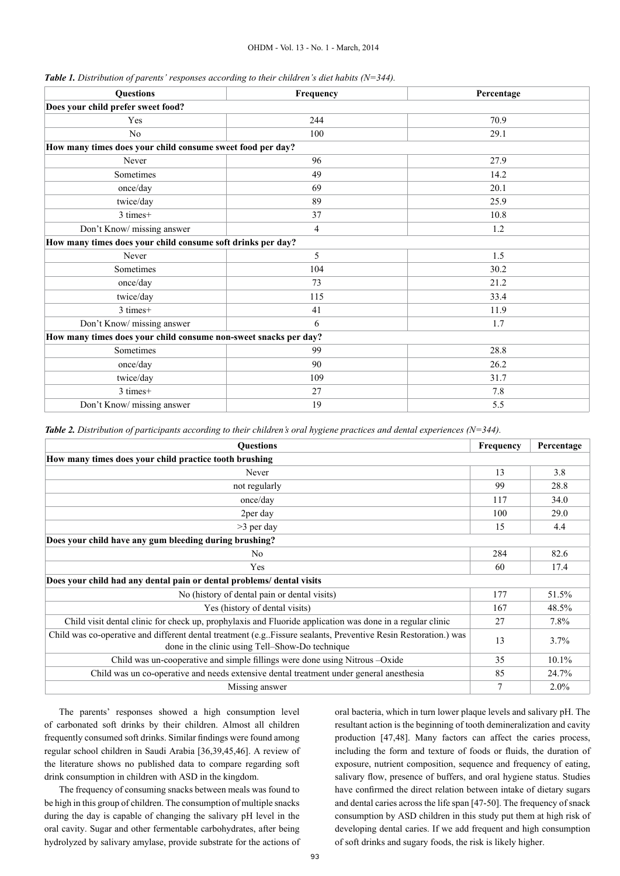#### OHDM - Vol. 13 - No. 1 - March, 2014

| <b>Questions</b>                                                 | Frequency      | Percentage |
|------------------------------------------------------------------|----------------|------------|
| Does your child prefer sweet food?                               |                |            |
| Yes                                                              | 244            | 70.9       |
| No                                                               | 100            | 29.1       |
| How many times does your child consume sweet food per day?       |                |            |
| Never                                                            | 96             | 27.9       |
| Sometimes                                                        | 49             | 14.2       |
| once/day                                                         | 69             | 20.1       |
| twice/day                                                        | 89             | 25.9       |
| 3 times+                                                         | 37             | 10.8       |
| Don't Know/ missing answer                                       | $\overline{4}$ | 1.2        |
| How many times does your child consume soft drinks per day?      |                |            |
| Never                                                            | 5              | 1.5        |
| Sometimes                                                        | 104            | 30.2       |
| once/day                                                         | 73             | 21.2       |
| twice/day                                                        | 115            | 33.4       |
| 3 times+                                                         | 41             | 11.9       |
| Don't Know/ missing answer                                       | 6              | 1.7        |
| How many times does your child consume non-sweet snacks per day? |                |            |
| Sometimes                                                        | 99             | 28.8       |
| once/day                                                         | 90             | 26.2       |
| twice/day                                                        | 109            | 31.7       |
| 3 times+                                                         | 27             | 7.8        |
| Don't Know/ missing answer                                       | 19             | 5.5        |

*Table 2. Distribution of participants according to their children's oral hygiene practices and dental experiences (N=344).*

| <b>Questions</b>                                                                                                                                                    | Frequency | Percentage |
|---------------------------------------------------------------------------------------------------------------------------------------------------------------------|-----------|------------|
| How many times does your child practice tooth brushing                                                                                                              |           |            |
| Never                                                                                                                                                               |           | 3.8        |
| not regularly                                                                                                                                                       |           | 28.8       |
| once/day                                                                                                                                                            |           | 34.0       |
| 2per day                                                                                                                                                            |           | 29.0       |
| $>3$ per day                                                                                                                                                        |           | 4.4        |
| Does your child have any gum bleeding during brushing?                                                                                                              |           |            |
| No.                                                                                                                                                                 | 284       | 82.6       |
| Yes                                                                                                                                                                 |           | 17.4       |
| Does your child had any dental pain or dental problems/ dental visits                                                                                               |           |            |
| No (history of dental pain or dental visits)                                                                                                                        |           | 51.5%      |
| Yes (history of dental visits)                                                                                                                                      |           | 48.5%      |
| Child visit dental clinic for check up, prophylaxis and Fluoride application was done in a regular clinic                                                           |           | 7.8%       |
| Child was co-operative and different dental treatment (e.g. Fissure sealants, Preventive Resin Restoration.) was<br>done in the clinic using Tell–Show-Do technique |           | 3.7%       |
| Child was un-cooperative and simple fillings were done using Nitrous -Oxide                                                                                         |           | 10.1%      |
| Child was un co-operative and needs extensive dental treatment under general anesthesia                                                                             |           | 24.7%      |
| Missing answer                                                                                                                                                      |           | $2.0\%$    |

The parents' responses showed a high consumption level of carbonated soft drinks by their children. Almost all children frequently consumed soft drinks. Similar findings were found among regular school children in Saudi Arabia [36,39,45,46]. A review of the literature shows no published data to compare regarding soft drink consumption in children with ASD in the kingdom.

The frequency of consuming snacks between meals was found to be high in this group of children. The consumption of multiple snacks during the day is capable of changing the salivary pH level in the oral cavity. Sugar and other fermentable carbohydrates, after being hydrolyzed by salivary amylase, provide substrate for the actions of oral bacteria, which in turn lower plaque levels and salivary pH. The resultant action is the beginning of tooth demineralization and cavity production [47,48]. Many factors can affect the caries process, including the form and texture of foods or fluids, the duration of exposure, nutrient composition, sequence and frequency of eating, salivary flow, presence of buffers, and oral hygiene status. Studies have confirmed the direct relation between intake of dietary sugars and dental caries across the life span [47-50]. The frequency of snack consumption by ASD children in this study put them at high risk of developing dental caries. If we add frequent and high consumption of soft drinks and sugary foods, the risk is likely higher.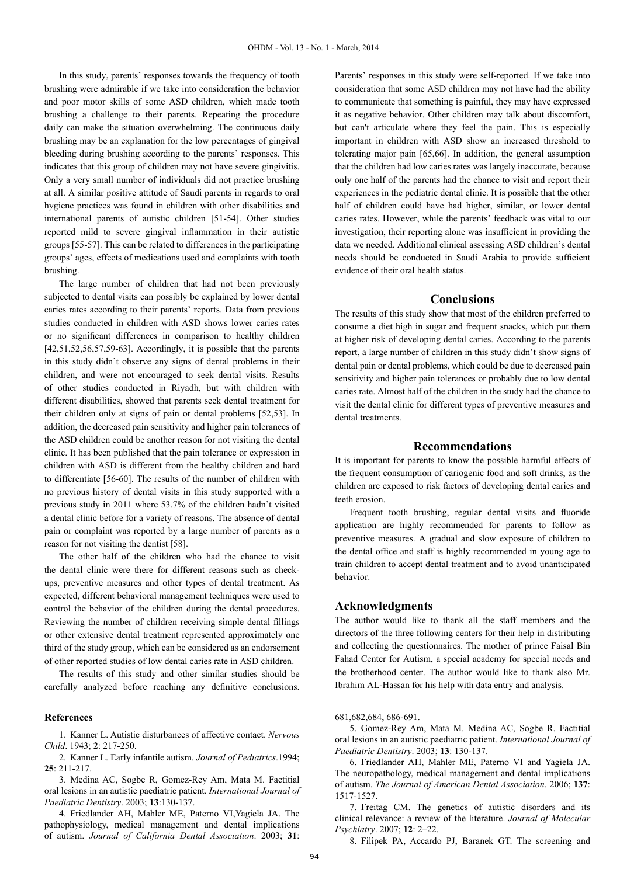In this study, parents' responses towards the frequency of tooth brushing were admirable if we take into consideration the behavior and poor motor skills of some ASD children, which made tooth brushing a challenge to their parents. Repeating the procedure daily can make the situation overwhelming. The continuous daily brushing may be an explanation for the low percentages of gingival bleeding during brushing according to the parents' responses. This indicates that this group of children may not have severe gingivitis. Only a very small number of individuals did not practice brushing at all. A similar positive attitude of Saudi parents in regards to oral hygiene practices was found in children with other disabilities and international parents of autistic children [51-54]. Other studies reported mild to severe gingival inflammation in their autistic groups [55-57]. This can be related to differences in the participating groups' ages, effects of medications used and complaints with tooth brushing.

The large number of children that had not been previously subjected to dental visits can possibly be explained by lower dental caries rates according to their parents' reports. Data from previous studies conducted in children with ASD shows lower caries rates or no significant differences in comparison to healthy children [42,51,52,56,57,59-63]. Accordingly, it is possible that the parents in this study didn't observe any signs of dental problems in their children, and were not encouraged to seek dental visits. Results of other studies conducted in Riyadh, but with children with different disabilities, showed that parents seek dental treatment for their children only at signs of pain or dental problems [52,53]. In addition, the decreased pain sensitivity and higher pain tolerances of the ASD children could be another reason for not visiting the dental clinic. It has been published that the pain tolerance or expression in children with ASD is different from the healthy children and hard to differentiate [56-60]. The results of the number of children with no previous history of dental visits in this study supported with a previous study in 2011 where 53.7% of the children hadn't visited a dental clinic before for a variety of reasons. The absence of dental pain or complaint was reported by a large number of parents as a reason for not visiting the dentist [58].

The other half of the children who had the chance to visit the dental clinic were there for different reasons such as checkups, preventive measures and other types of dental treatment. As expected, different behavioral management techniques were used to control the behavior of the children during the dental procedures. Reviewing the number of children receiving simple dental fillings or other extensive dental treatment represented approximately one third of the study group, which can be considered as an endorsement of other reported studies of low dental caries rate in ASD children.

The results of this study and other similar studies should be carefully analyzed before reaching any definitive conclusions.

#### **References**

1. Kanner L. Autistic disturbances of affective contact. *Nervous Child*. 1943; **2**: 217-250.

2. Kanner L. Early infantile autism. *Journal of Pediatrics*.1994; **25**: 211-217.

3. Medina AC, Sogbe R, Gomez-Rey Am, Mata M. Factitial oral lesions in an autistic paediatric patient. *International Journal of Paediatric Dentistry*. 2003; **13**:130-137.

4. Friedlander AH, Mahler ME, Paterno VI,Yagiela JA. The pathophysiology, medical management and dental implications of autism. *Journal of California Dental Association*. 2003; **31**:

Parents' responses in this study were self-reported. If we take into consideration that some ASD children may not have had the ability to communicate that something is painful, they may have expressed it as negative behavior. Other children may talk about discomfort, but can't articulate where they feel the pain. This is especially important in children with ASD show an increased threshold to tolerating major pain [65,66]. In addition, the general assumption that the children had low caries rates was largely inaccurate, because only one half of the parents had the chance to visit and report their experiences in the pediatric dental clinic. It is possible that the other half of children could have had higher, similar, or lower dental caries rates. However, while the parents' feedback was vital to our investigation, their reporting alone was insufficient in providing the data we needed. Additional clinical assessing ASD children's dental needs should be conducted in Saudi Arabia to provide sufficient evidence of their oral health status.

#### **Conclusions**

The results of this study show that most of the children preferred to consume a diet high in sugar and frequent snacks, which put them at higher risk of developing dental caries. According to the parents report, a large number of children in this study didn't show signs of dental pain or dental problems, which could be due to decreased pain sensitivity and higher pain tolerances or probably due to low dental caries rate. Almost half of the children in the study had the chance to visit the dental clinic for different types of preventive measures and dental treatments.

#### **Recommendations**

It is important for parents to know the possible harmful effects of the frequent consumption of cariogenic food and soft drinks, as the children are exposed to risk factors of developing dental caries and teeth erosion.

Frequent tooth brushing, regular dental visits and fluoride application are highly recommended for parents to follow as preventive measures. A gradual and slow exposure of children to the dental office and staff is highly recommended in young age to train children to accept dental treatment and to avoid unanticipated behavior.

#### **Acknowledgments**

The author would like to thank all the staff members and the directors of the three following centers for their help in distributing and collecting the questionnaires. The mother of prince Faisal Bin Fahad Center for Autism, a special academy for special needs and the brotherhood center. The author would like to thank also Mr. Ibrahim AL-Hassan for his help with data entry and analysis.

681,682,684, 686-691.

5. Gomez-Rey Am, Mata M. Medina AC, Sogbe R. Factitial oral lesions in an autistic paediatric patient. *International Journal of Paediatric Dentistry*. 2003; **13**: 130-137.

6. Friedlander AH, Mahler ME, Paterno VI and Yagiela JA. The neuropathology, medical management and dental implications of autism. *The Journal of American Dental Association*. 2006; **137**: 1517-1527.

7. Freitag CM. The genetics of autistic disorders and its clinical relevance: a review of the literature. *Journal of Molecular Psychiatry*. 2007; **12**: 2–22.

8. Filipek PA, Accardo PJ, Baranek GT. The screening and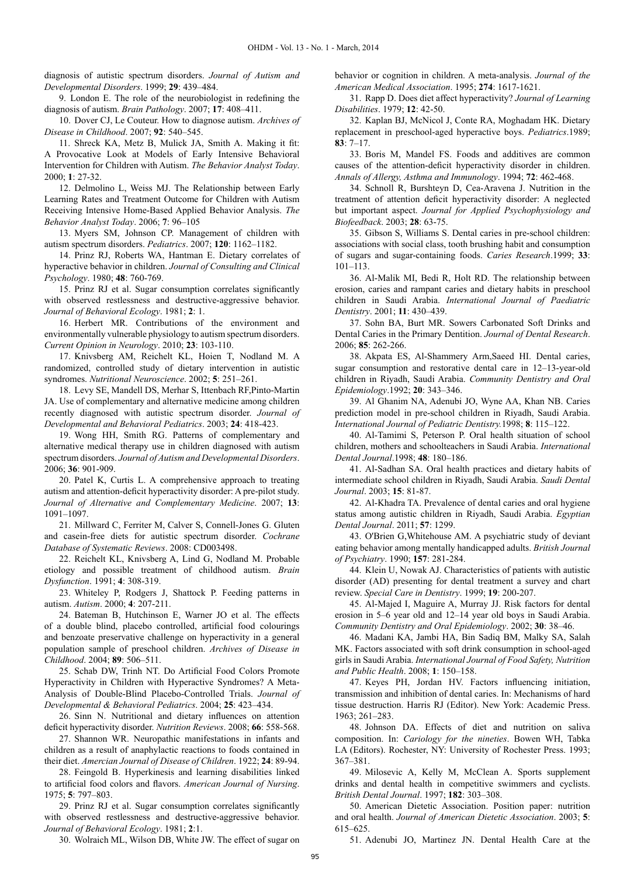diagnosis of autistic spectrum disorders. *Journal of Autism and Developmental Disorders*. 1999; **29**: 439–484.

9. London E. The role of the neurobiologist in redefining the diagnosis of autism. *Brain Pathology*. 2007; **17**: 408–411.

10. Dover CJ, Le Couteur. How to diagnose autism. *Archives of Disease in Childhood*. 2007; **92**: 540–545.

11. Shreck KA, Metz B, Mulick JA, Smith A. Making it fit: A Provocative Look at Models of Early Intensive Behavioral Intervention for Children with Autism. *The Behavior Analyst Today*. 2000; **1**: 27-32.

12. Delmolino L, Weiss MJ. The Relationship between Early Learning Rates and Treatment Outcome for Children with Autism Receiving Intensive Home-Based Applied Behavior Analysis. *The Behavior Analyst Today*. 2006; **7**: 96–105

13. Myers SM, Johnson CP. Management of children with autism spectrum disorders. *Pediatrics*. 2007; **120**: 1162–1182.

14. Prinz RJ, Roberts WA, Hantman E. Dietary correlates of hyperactive behavior in children. *Journal of Consulting and Clinical Psychology*. 1980; **48**: 760-769.

15. Prinz RJ et al. Sugar consumption correlates significantly with observed restlessness and destructive-aggressive behavior. *Journal of Behavioral Ecology*. 1981; **2**: 1.

16. Herbert MR. Contributions of the environment and environmentally vulnerable physiology to autism spectrum disorders. *Current Opinion in Neurology*. 2010; **23**: 103-110.

17. Knivsberg AM, Reichelt KL, Hoien T, Nodland M. A randomized, controlled study of dietary intervention in autistic syndromes. *Nutritional Neuroscience*. 2002; **5**: 251–261.

18. Levy SE, Mandell DS, Merhar S, Ittenbach RF,Pinto-Martin JA. Use of complementary and alternative medicine among children recently diagnosed with autistic spectrum disorder. *Journal of Developmental and Behavioral Pediatrics*. 2003; **24**: 418-423.

19. Wong HH, Smith RG. Patterns of complementary and alternative medical therapy use in children diagnosed with autism spectrum disorders. *Journal of Autism and Developmental Disorders*. 2006; **36**: 901-909.

20. Patel K, Curtis L. A comprehensive approach to treating autism and attention-deficit hyperactivity disorder: A pre-pilot study. *Journal of Alternative and Complementary Medicine*. 2007; **13**: 1091–1097.

21. Millward C, Ferriter M, Calver S, Connell-Jones G. Gluten and casein-free diets for autistic spectrum disorder. *Cochrane Database of Systematic Reviews*. 2008: CD003498.

22. Reichelt KL, Knivsberg A, Lind G, Nodland M. Probable etiology and possible treatment of childhood autism. *Brain Dysfunction*. 1991; **4**: 308-319.

23. Whiteley P, Rodgers J, Shattock P. Feeding patterns in autism. *Autism*. 2000; **4**: 207-211.

24. Bateman B, Hutchinson E, Warner JO et al. The effects of a double blind, placebo controlled, artificial food colourings and benzoate preservative challenge on hyperactivity in a general population sample of preschool children. *Archives of Disease in Childhood*. 2004; **89**: 506–511.

25. Schab DW, Trinh NT. Do Artificial Food Colors Promote Hyperactivity in Children with Hyperactive Syndromes? A Meta-Analysis of Double-Blind Placebo-Controlled Trials. *Journal of Developmental & Behavioral Pediatrics*. 2004; **25**: 423–434.

26. Sinn N. Nutritional and dietary influences on attention deficit hyperactivity disorder. *Nutrition Reviews*. 2008; **66**: 558-568.

27. Shannon WR. Neuropathic manifestations in infants and children as a result of anaphylactic reactions to foods contained in their diet. *Amercian Journal of Disease of Children*. 1922; **24**: 89-94.

28. Feingold B. Hyperkinesis and learning disabilities linked to artificial food colors and flavors. *American Journal of Nursing*. 1975; **5**: 797–803.

29. Prinz RJ et al. Sugar consumption correlates significantly with observed restlessness and destructive-aggressive behavior. *Journal of Behavioral Ecology*. 1981; **2**:1.

30. Wolraich ML, Wilson DB, White JW. The effect of sugar on

behavior or cognition in children. A meta-analysis. *Journal of the American Medical Association*. 1995; **274**: 1617-1621.

31. Rapp D. Does diet affect hyperactivity? *Journal of Learning Disabilities*. 1979; **12**: 42-50.

32. Kaplan BJ, McNicol J, Conte RA, Moghadam HK. Dietary replacement in preschool-aged hyperactive boys. *Pediatrics*.1989; **83**: 7–17.

33. Boris M, Mandel FS. Foods and additives are common causes of the attention-deficit hyperactivity disorder in children. *Annals of Allergy, Asthma and Immunology*. 1994; **72**: 462-468.

34. Schnoll R, Burshteyn D, Cea-Aravena J. Nutrition in the treatment of attention deficit hyperactivity disorder: A neglected but important aspect. *Journal for Applied Psychophysiology and Biofeedback*. 2003; **28**: 63-75.

35. Gibson S, Williams S. Dental caries in pre-school children: associations with social class, tooth brushing habit and consumption of sugars and sugar-containing foods. *Caries Research*.1999; **33**: 101–113.

36. Al-Malik MI, Bedi R, Holt RD. The relationship between erosion, caries and rampant caries and dietary habits in preschool children in Saudi Arabia. *International Journal of Paediatric Dentistry*. 2001; **11**: 430–439.

37. Sohn BA, Burt MR. Sowers Carbonated Soft Drinks and Dental Caries in the Primary Dentition. *Journal of Dental Research*. 2006; **85**: 262-266.

38. Akpata ES, Al-Shammery Arm,Saeed HI. Dental caries, sugar consumption and restorative dental care in 12–13-year-old children in Riyadh, Saudi Arabia. *Community Dentistry and Oral Epidemiology*.1992; **20**: 343–346.

39. Al Ghanim NA, Adenubi JO, Wyne AA, Khan NB. Caries prediction model in pre-school children in Riyadh, Saudi Arabia. *International Journal of Pediatric Dentistry.*1998; **8**: 115–122.

40. Al-Tamimi S, Peterson P. Oral health situation of school children, mothers and schoolteachers in Saudi Arabia. *International Dental Journal*.1998; **48**: 180–186.

41. Al-Sadhan SA. Oral health practices and dietary habits of intermediate school children in Riyadh, Saudi Arabia. *Saudi Dental Journal*. 2003; **15**: 81-87.

42. Al-Khadra TA. Prevalence of dental caries and oral hygiene status among autistic children in Riyadh, Saudi Arabia. *Egyptian Dental Journal*. 2011; **57**: 1299.

43. O'Brien G,Whitehouse AM. A psychiatric study of deviant eating behavior among mentally handicapped adults. *British Journal of Psychiatry*. 1990; **157**: 281-284.

44. Klein U, Nowak AJ. Characteristics of patients with autistic disorder (AD) presenting for dental treatment a survey and chart review. *Special Care in Dentistry*. 1999; **19**: 200-207.

45. Al-Majed I, Maguire A, Murray JJ. Risk factors for dental erosion in 5–6 year old and 12–14 year old boys in Saudi Arabia. *Community Dentistry and Oral Epidemiology*. 2002; **30**: 38–46.

46. Madani KA, Jambi HA, Bin Sadiq BM, Malky SA, Salah MK. Factors associated with soft drink consumption in school-aged girls in Saudi Arabia. *International Journal of Food Safety, Nutrition and Public Health*. 2008; **1**: 150–158.

47. Keyes PH, Jordan HV. Factors influencing initiation, transmission and inhibition of dental caries. In: Mechanisms of hard tissue destruction. Harris RJ (Editor). New York: Academic Press.  $1963 \cdot 261 - 283$ 

48. Johnson DA. Effects of diet and nutrition on saliva composition. In: *Cariology for the nineties*. Bowen WH, Tabka LA (Editors). Rochester, NY: University of Rochester Press. 1993; 367–381.

49. Milosevic A, Kelly M, McClean A. Sports supplement drinks and dental health in competitive swimmers and cyclists. *British Dental Journal*. 1997; **182**: 303–308.

50. American Dietetic Association. Position paper: nutrition and oral health. *Journal of American Dietetic Association*. 2003; **5**: 615–625.

51. Adenubi JO, Martinez JN. Dental Health Care at the